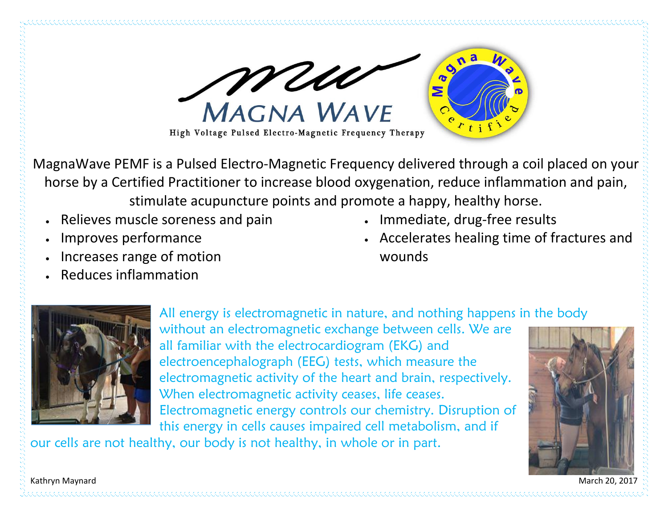

MagnaWave PEMF is a Pulsed Electro-Magnetic Frequency delivered through a coil placed on your horse by a Certified Practitioner to increase blood oxygenation, reduce inflammation and pain, stimulate acupuncture points and promote a happy, healthy horse.

- Relieves muscle soreness and pain
- Improves performance
- Increases range of motion
- <sup>x</sup> Reduces inflammation
- Immediate, drug-free results
- <sup>x</sup> Accelerates healing time of fractures and wounds



All energy is electromagnetic in nature, and nothing happens in the body without an electromagnetic exchange between cells. We are all familiar with the electrocardiogram (EKG) and electroencephalograph (EEG) tests, which measure the electromagnetic activity of the heart and brain, respectively. When electromagnetic activity ceases, life ceases. Electromagnetic energy controls our chemistry. Disruption of this energy in cells causes impaired cell metabolism, and if

our cells are not healthy, our body is not healthy, in whole or in part.



Kathryn Maynard March 20, 2017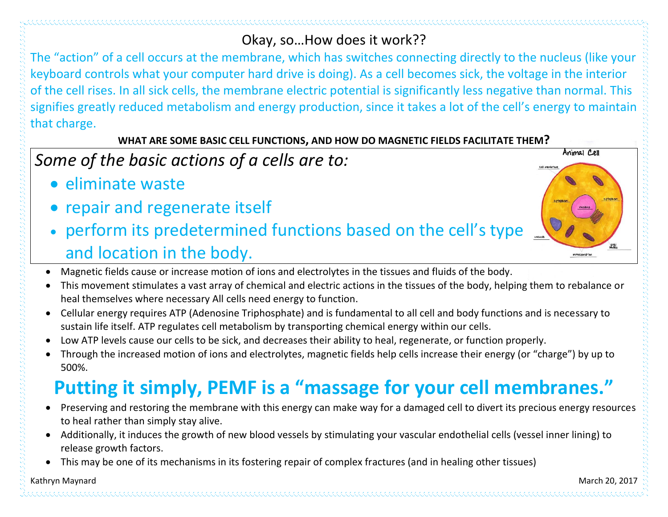### Okay, so…How does it work??

The "action" of a cell occurs at the membrane, which has switches connecting directly to the nucleus (like your keyboard controls what your computer hard drive is doing). As a cell becomes sick, the voltage in the interior of the cell rises. In all sick cells, the membrane electric potential is significantly less negative than normal. This signifies greatly reduced metabolism and energy production, since it takes a lot of the cell's energy to maintain that charge.

#### **WHAT ARE SOME BASIC CELL FUNCTIONS, AND HOW DO MAGNETIC FIELDS FACILITATE THEM?**

## *Some of the basic actions of a cells are to:*

- eliminate waste
- repair and regenerate itself
- perform its predetermined functions based on the cell's type and location in the body.



- x Magnetic fields cause or increase motion of ions and electrolytes in the tissues and fluids of the body.
- x This movement stimulates a vast array of chemical and electric actions in the tissues of the body, helping them to rebalance or heal themselves where necessary All cells need energy to function.
- x Cellular energy requires ATP (Adenosine Triphosphate) and is fundamental to all cell and body functions and is necessary to sustain life itself. ATP regulates cell metabolism by transporting chemical energy within our cells.
- Low ATP levels cause our cells to be sick, and decreases their ability to heal, regenerate, or function properly.
- x Through the increased motion of ions and electrolytes, magnetic fields help cells increase their energy (or "charge") by up to 500%.

# **Putting it simply, PEMF is a "massage for your cell membranes."**

- x Preserving and restoring the membrane with this energy can make way for a damaged cell to divert its precious energy resources to heal rather than simply stay alive.
- x Additionally, it induces the growth of new blood vessels by stimulating your vascular endothelial cells (vessel inner lining) to release growth factors.
- This may be one of its mechanisms in its fostering repair of complex fractures (and in healing other tissues)

#### Kathryn Maynard March 20, 2017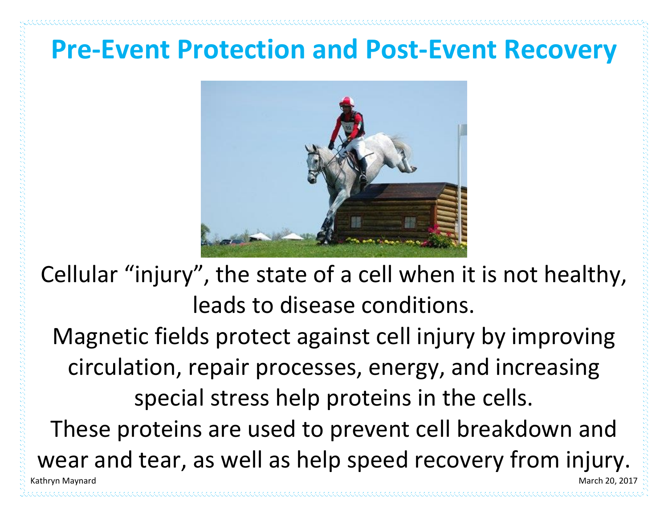# **Pre-Event Protection and Post-Event Recovery**



Cellular "injury", the state of a cell when it is not healthy, leads to disease conditions.

Kathryn Maynard March 20, 2017 Magnetic fields protect against cell injury by improving circulation, repair processes, energy, and increasing special stress help proteins in the cells. These proteins are used to prevent cell breakdown and wear and tear, as well as help speed recovery from injury.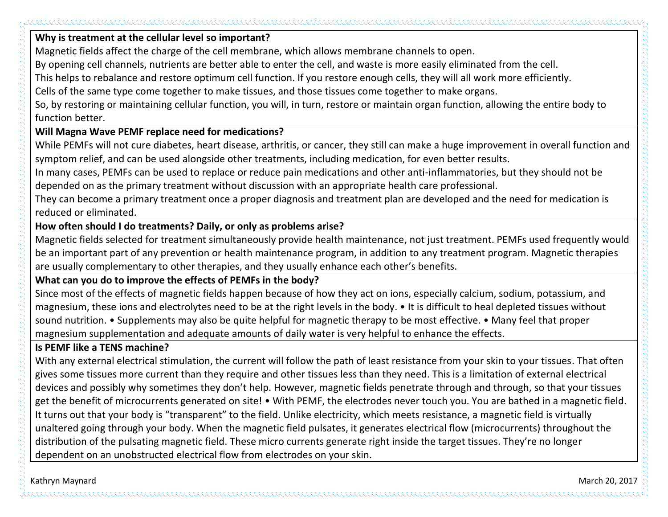#### **Why is treatment at the cellular level so important?**

Magnetic fields affect the charge of the cell membrane, which allows membrane channels to open.

By opening cell channels, nutrients are better able to enter the cell, and waste is more easily eliminated from the cell.

This helps to rebalance and restore optimum cell function. If you restore enough cells, they will all work more efficiently.

Cells of the same type come together to make tissues, and those tissues come together to make organs.

So, by restoring or maintaining cellular function, you will, in turn, restore or maintain organ function, allowing the entire body to function better.

#### **Will Magna Wave PEMF replace need for medications?**

While PEMFs will not cure diabetes, heart disease, arthritis, or cancer, they still can make a huge improvement in overall function and symptom relief, and can be used alongside other treatments, including medication, for even better results.

In many cases, PEMFs can be used to replace or reduce pain medications and other anti-inflammatories, but they should not be depended on as the primary treatment without discussion with an appropriate health care professional.

They can become a primary treatment once a proper diagnosis and treatment plan are developed and the need for medication is reduced or eliminated.

#### **How often should I do treatments? Daily, or only as problems arise?**

Magnetic fields selected for treatment simultaneously provide health maintenance, not just treatment. PEMFs used frequently would be an important part of any prevention or health maintenance program, in addition to any treatment program. Magnetic therapies are usually complementary to other therapies, and they usually enhance each other's benefits.

#### **What can you do to improve the effects of PEMFs in the body?**

Since most of the effects of magnetic fields happen because of how they act on ions, especially calcium, sodium, potassium, and magnesium, these ions and electrolytes need to be at the right levels in the body. • It is difficult to heal depleted tissues without sound nutrition. • Supplements may also be quite helpful for magnetic therapy to be most effective. • Many feel that proper magnesium supplementation and adequate amounts of daily water is very helpful to enhance the effects.

#### **Is PEMF like a TENS machine?**

With any external electrical stimulation, the current will follow the path of least resistance from your skin to your tissues. That often gives some tissues more current than they require and other tissues less than they need. This is a limitation of external electrical devices and possibly why sometimes they don't help. However, magnetic fields penetrate through and through, so that your tissues get the benefit of microcurrents generated on site! • With PEMF, the electrodes never touch you. You are bathed in a magnetic field. It turns out that your body is "transparent" to the field. Unlike electricity, which meets resistance, a magnetic field is virtually unaltered going through your body. When the magnetic field pulsates, it generates electrical flow (microcurrents) throughout the distribution of the pulsating magnetic field. These micro currents generate right inside the target tissues. They're no longer dependent on an unobstructed electrical flow from electrodes on your skin.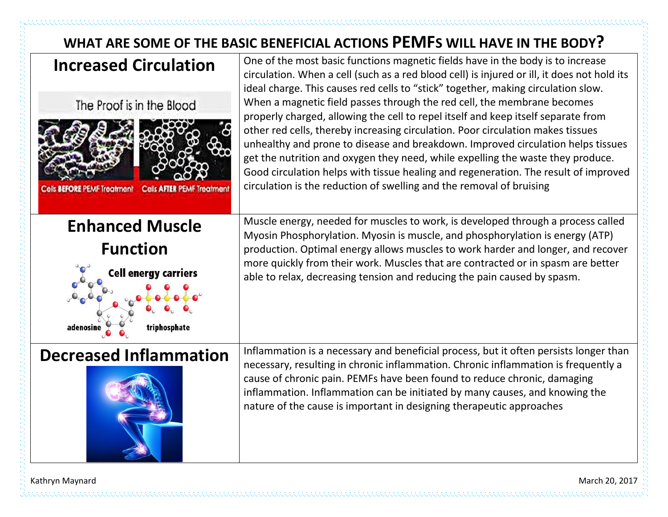## **WHAT ARE SOME OF THE BASIC BENEFICIAL ACTIONS PEMFS WILL HAVE IN THE BODY?**



Kathryn Maynard March 20, 2017